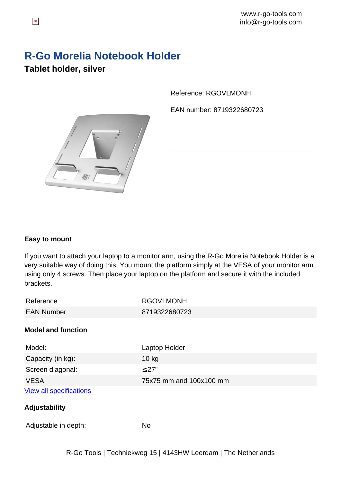## **R-Go Morelia Notebook Holder**

Reference: RGOVLMONH

EAN number: 8719322680723





## **Easy to mount**

If you want to attach your laptop to a monitor arm, using the R-Go Morelia Notebook Holder is a very suitable way of doing this. You mount the platform simply at the VESA of your monitor arm using only 4 screws. Then place your laptop on the platform and secure it with the included brackets.

| Reference                      | <b>RGOVLMONH</b>        |
|--------------------------------|-------------------------|
| <b>EAN Number</b>              | 8719322680723           |
| <b>Model and function</b>      |                         |
| Model:                         | Laptop Holder           |
| Capacity (in kg):              | $10$ kg                 |
| Screen diagonal:               | $\leq$ 27"              |
| VESA:                          | 75x75 mm and 100x100 mm |
| <b>View all specifications</b> |                         |
| Adjustability                  |                         |
| Adjustable in depth:           | <b>No</b>               |
|                                |                         |